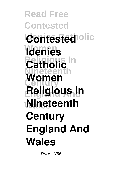**Read Free Contested Contested** olic **Women Idenies Catholic** In **Nineteenth Century England And Religious In Wales Nineteenth Women Century England And Wales**

Page 1/56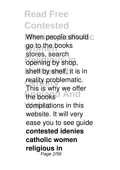When people should c go to the books **Religious In** opening by shop, shelf by shelf, it is in reality problematic. the books<sup>d</sup> And compilations in this stores, search This is why we offer website. It will very ease you to see guide **contested idenies catholic women religious in** Page 2/56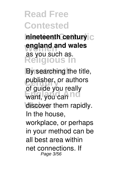**nineteenth century** C england and wales **Religious In** as you such as.

By searching the title, publisher, or authors want, you can not discover them rapidly. of guide you really In the house, workplace, or perhaps in your method can be all best area within net connections. If Page 3/56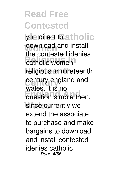lyou direct to atholic download and install<br>
the contexted identity **Religious International Nineteenth** religious in nineteenth **Century** century england and **Engleption** simple then, since currently we the contested idenies wales, it is no extend the associate to purchase and make bargains to download and install contested idenies catholic Page 4/56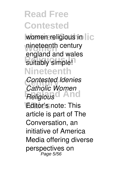women religious in  $||c$ nineteenth century suitably simple! **Nineteenth** england and wales

**Contested Idenies England And** *Religious* **Editor's note: This** *Catholic Women* article is part of The Conversation, an initiative of America Media offering diverse perspectives on Page 5/56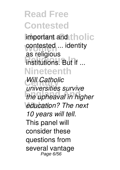Important and tholic contested ... identity **Religious In** institutions. But if ... **Nineteenth** as religious

*Will Catholic* **England And** *the upheaval in higher* **Wales** *education? The next universities survive 10 years will tell.* This panel will consider these questions from several vantage Page 6/56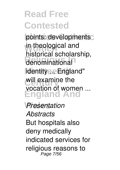points: developments in theological and **Religious** denominational lidentity ... England" will examine the **England And** historical scholarship, vocation of women ...

**Wales** *Presentation Abstracts* But hospitals also deny medically indicated services for religious reasons to Page 7/56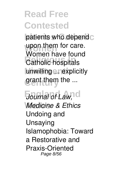patients who depend c upon them for care. **Religious International** unwilling ... rexplicitly grant them the ... Women have found

**Journal of Law, I cl Wales** *Medicine & Ethics* Undoing and Unsaying Islamophobia: Toward a Restorative and Praxis-Oriented Page 8/56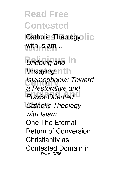Catholic Theology | C with Islam ...

*Undoing and* In *Unsaying* nth **Century** *Islamophobia: Toward* **England And** *Praxis-Oriented* **Catholic Theology** *a Restorative and with Islam* One The Eternal Return of Conversion Christianity as Contested Domain in Page 9/56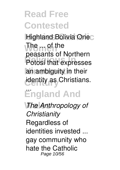**Highland Bolivia Onec The met the** Potosí that expresses an ambiguity in their **identity as Christians.<sup>1</sup>** peasants of Northern

#### **England And** ...

**Wales** *The Anthropology of Christianity* Regardless of identities invested ... gay community who hate the Catholic Page 10/56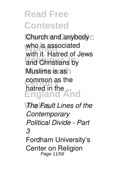**Church and anybody** C who is associated<br>with it. Ustrad of **Religious** Christians by **Muslims is as** common as the **England And** with it. Hatred of Jews hatred in the ...

**The Fault Lines of the** *Contemporary Political Divide - Part 3* Fordham University's Center on Religion Page 11/56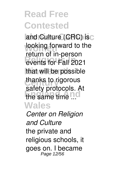and Culture (CRC) is c looking forward to the **Religious In** events for Fall 2021 that will be possible thanks to rigorous the same time ...d **Wales** return of in-person safety protocols. At

*Center on Religion and Culture* the private and religious schools, it goes on. I became Page 12/56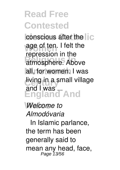conscious after the  $\|c\|$ age of ten. I felt the **Religious Information** all, for women. I was living in a small village **England And** repression in the and I was ...

**Wales** *Welcome to Almodóvaria* <sup>3</sup> In Islamic parlance, the term has been generally said to mean any head, face,<br>Page 13/56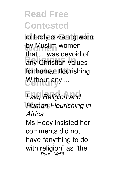or body covering worn by Muslim women **Religious Indians**<br> **Religious** for human flourishing. Without any ... that ... was devoid of

**England And** *Law, Religion and* **Wales** *Human Flourishing in Africa* Ms Hoey insisted her comments did not have "anything to do with religion" as "the Page 14/56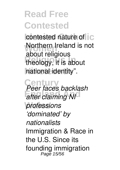contested nature of  $\overline{\text{I}}$ **C Northern Ireland is not Religious In** theology, it is about **Nineteenth** national identity". about religious

**Century** *Peer faces backlash* **England And** *after claiming NI* **Wales** *professions 'dominated' by nationalists* Immigration & Race in the U.S. Since its founding immigration Page 15/56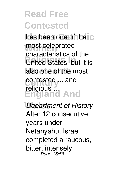has been one of the c most celebrated *<u>United States</u>*, but it is also one of the most contested ... and **England And** characteristics of the religious ...

*Department of History* After 12 consecutive years under Netanyahu, Israel completed a raucous, bitter, intensely Page 16/56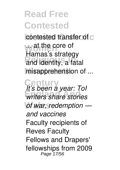contested transfer of c **wat the core of Religious Contracts** misapprehension of ... Hamas's strategy

**Century** *It's been a year: ToI* **England And** *writers share stories*  $of$  war, redemption *and vaccines* Faculty recipients of Reves Faculty Fellows and Drapers' fellowships from 2009 Page 17/56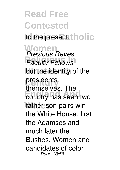**Read Free Contested** to the present. tholic **Women** *Previous Reves* **Faculty Fellows** but the identity of the presidents **England And** country has seen two father-son pairs win themselves. The the White House: first the Adamses and much later the Bushes. Women and candidates of color Page 18/56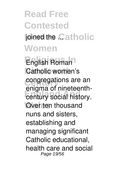## **Read Free Contested Joined the Catholic Women**

**Religious In** English Roman Catholic women's congregations are an **Enging Stringtooning** Over ten thousand enigma of nineteenthnuns and sisters, establishing and managing significant Catholic educational, health care and social Page 19/56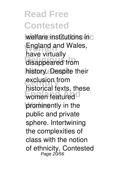welfare institutions inc **England and Wales, Religious In** disappeared from history. Despite their exclusion from **England Control** prominently in the have virtually historical texts, these public and private sphere. Intertwining the complexities of class with the notion of ethnicity, Contested<br>Page 20/56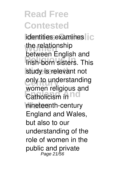**Identities examines** the relationship<br> **between**<br> **Figure Refiguers** Institute Inc. study is relevant not only to understanding **Catholicism in Wales** nineteenth-century between English and women religious and England and Wales, but also to our understanding of the role of women in the public and private Page 21/56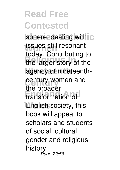sphere, dealing with C **issues still resonant Religious In** the larger story of the agency of nineteenth-**Century** century women and **England And** transformation of **Wales** English society, this today. Contributing to the broader book will appeal to scholars and students of social, cultural, gender and religious history. Page 22/56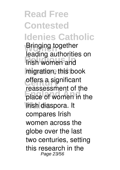**Read Free Contested Idenies Catholic Bringing together Religious In** Irish women and migration, this book offers a significant **Place of women in the Wales** Irish diaspora. It leading authorities on reassessment of the compares Irish women across the globe over the last two centuries, setting this research in the Page 23/56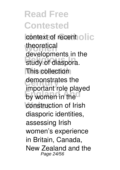context of recent olic theoretical study of diaspora. **This collection** demonstrates the **England** By women in the construction of Irish developments in the important role played diasporic identities, assessing Irish women's experience in Britain, Canada, New Zealand and the Page 24/56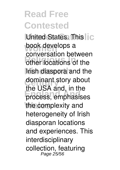**United States. This IC** book develops a **Religious** of the **Irish diaspora** and the dominant story about **England And** process, emphasises the complexity and conversation between the USA and, in the heterogeneity of Irish diasporan locations and experiences. This interdisciplinary collection, featuring Page 25/56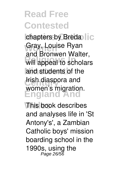chapters by Breda lic Gray, Louise Ryan will appeal to scholars and students of the **Irish diaspora and England And** and Bronwen Walter, women's migration.

**Wales** This book describes and analyses life in 'St Antony's', a Zambian Catholic boys' mission boarding school in the 1990s, using the Page 26/56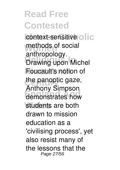context-sensitive olic methods of social **Religious In** Drawing upon Michel **Foucault's notion of** the panoptic gaze, **England And** demonstrates how students are both anthropology. Anthony Simpson drawn to mission education as a 'civilising process', yet also resist many of the lessons that the Page 27/56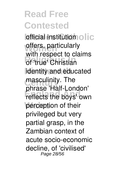**Identificial** institution **olic** offers, particularly **Religious Information** identity and educated masculinity. The reflects the boys' own perception of their with respect to claims phrase 'Half-London' privileged but very partial grasp, in the Zambian context of acute socio-economic decline, of 'civilised' Page 28/56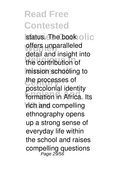status. The book olic offers unparalleled **Religious In** the contribution of mission schooling to the processes of **England And** formation in Africa. Its **rich and compelling** detail and insight into postcolonial identity ethnography opens up a strong sense of everyday life within the school and raises compelling questions Page 29/56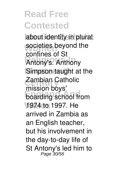about identity in plural societies beyond the **Religious In** Antony's. Anthony Simpson taught at the Zambian Catholic **Englanding** school from **Wales** 1974 to 1997. He confines of St mission boys' arrived in Zambia as an English teacher, but his involvement in the day-to-day life of St Antony's led him to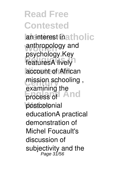**Read Free Contested an interest inatholic** anthropology and **Religious**<br>**FeaturesA** lively account of African mission schooling, process of And postcolonial psychology.Key examining the educationA practical demonstration of Michel Foucault's discussion of subjectivity and the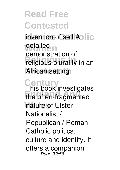invention of self Aolic detailed<br>demonstra **Religious plurality in an African setting** demonstration of

**Century** This book investigates **England And** the often-fragmented **Wales** nature of Ulster Nationalist / Republican / Roman Catholic politics, culture and identity. It offers a companion Page 32/56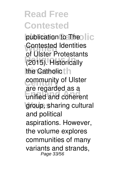publication to Theolic **Contested Identities Religious In** (2015). Historically the Catholic<sup>t</sup><sub>n</sub> **community of Ulster England And** unified and coherent group, sharing cultural of Ulster Protestants are regarded as a and political aspirations. However, the volume explores communities of many variants and strands, Page 33/56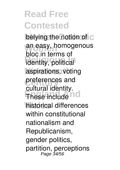belying the notion of C an easy, homogenous **Religious In** identity, political aspirations, voting preferences and **England Address historical differences** bloc in terms of cultural identity. within constitutional nationalism and Republicanism, gender politics, partition, perceptions Page 34/56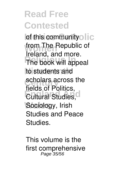of this communityolic from The Republic of **The book will appeal** to students and scholars across the **Eultural Studies, C** Sociology, Irish Ireland, and more. fields of Politics, Studies and Peace Studies.

This volume is the first comprehensive Page 35/56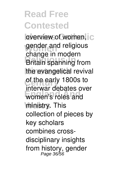overview of women, c gender and religious **Britain spanning from** the evangelical revival of the early 1800s to **Enternal decated** ministry. This change in modern interwar debates over collection of pieces by key scholars combines crossdisciplinary insights from history, gender<br>Page 36/56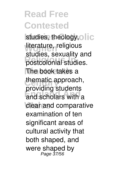studies, theology, olic literature, religious postcolonial studies. The book takes a thematic approach, **England And** and scholars with a clear and comparative studies, sexuality and providing students examination of ten significant areas of cultural activity that both shaped, and were shaped by<br>Page 37/56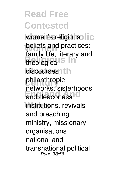women's religious | C **beliefs and practices:**<br> **family life literary and** theological<sup>S</sup> discourses, th philanthropic and deaconess<sup>10</sup> institutions, revivals family life, literary and networks, sisterhoods and preaching ministry, missionary organisations, national and transnational political Page 38/56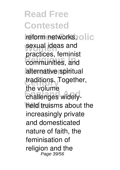**reform networks, olic** sexual ideas and **Religious In** communities, and alternative spiritual traditions. Together, **England And** challenges widelyheld truisms about the practices, feminist the volume increasingly private and domesticated nature of faith, the feminisation of religion and the Page 39/56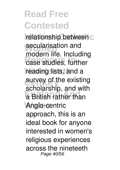relationship between c secularisation and<br>madern life lineling **Religion**<br> **Religions**<br> **Religions**<br> **Religions** reading lists, and a survey of the existing **a** British rather than **Wales** Anglo-centric modern life. Including scholarship, and with approach, this is an ideal book for anyone interested in women's religious experiences across the nineteeth Page 40/56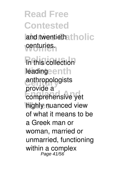**Read Free Contested** and twentieth tholic **Women** centuries.

**Religious In** In this collection leadingeenth anthropologists **England And** comprehensive yet **Wales** highly nuanced view provide a of what it means to be a Greek man or woman, married or unmarried, functioning within a complex<br>Page 41/56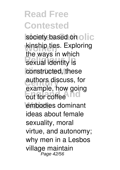society based on olic **kinship ties. Exploring Redigious** Internet constructed, these **authors discuss, for Example, how going** embodies dominant the ways in which example, how going ideas about female sexuality, moral virtue, and autonomy; why men in a Lesbos village maintain<br>Page 42/56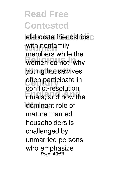elaborate friendships<sub>C</sub> with nonfamily<br>wambow **Religious Community** young housewives **often participate in England And** rituals; and how the dominant role of members while the conflict-resolution mature married householders is challenged by unmarried persons who emphasize Page 43/56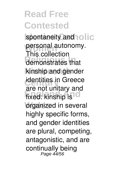spontaneity and **olic** personal autonomy.<br>This collection **Religious In** demonstrates that kinship and gender **identities in Greece** fixed: kinship is C **organized** in several This collection are not unitary and highly specific forms, and gender identities are plural, competing, antagonistic, and are continually being Page 44/56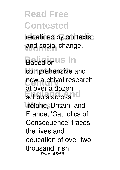redefined by contexts and social change.

**Based on US In** comprehensive and new archival research schools across<sup>10</sup> **Wales** Ireland, Britain, and at over a dozen France, 'Catholics of Consequence' traces the lives and education of over two thousand Irish Page 45/56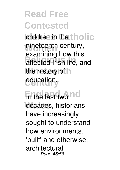children in the tholic nineteenth century, **Religious In** affected Irish life, and the history of  $\ln$ education. examining how this

**En the last two nd** decades, historians have increasingly sought to understand how environments, 'built' and otherwise, architectural Page 46/56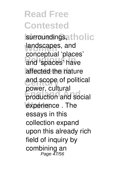#### **Read Free Contested** surroundings, tholic landscapes, and and 'spaces' have affected the nature and scope of political production and social experience . The conceptual 'places' power, cultural essays in this collection expand upon this already rich field of inquiry by combining an Page 47/56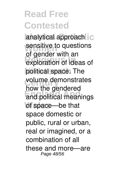analytical approach C sensitive to questions exploration of ideas of political space. The volume demonstrates **England And** and political meanings of space—be that of gender with an how the gendered space domestic or public, rural or urban, real or imagined, or a combination of all these and more—are Page 48/56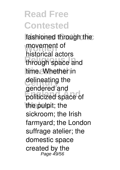fashioned through the movement of through space and time. Whether in delineating the **England And** politicized space of the pulpit; the historical actors gendered and sickroom; the Irish farmyard; the London suffrage atelier; the domestic space created by the Page 49/56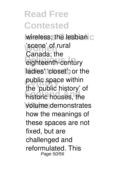wireless; the lesbian c 'scene' of rural eighteenth-century ladies' 'closet'; or the public space within **England And** historic houses, the **Wales** volume demonstrates Canada; the the 'public history' of how the meanings of these spaces are not fixed, but are challenged and reformulated. This Page 50/56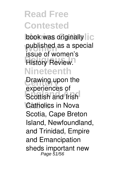book was originally published as a special **Review. Nineteenth** issue of women's

**Drawing upon the Experienced of Catholics in Nova** experiences of Scotia, Cape Breton Island, Newfoundland, and Trinidad, Empire and Emancipation sheds important new Page 51/56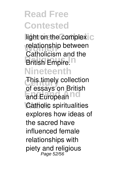light on the complex C relationship between **British Empire.**<sup>n</sup> **Nineteenth** Catholicism and the

**This timely collection** and European<sup>nd</sup> **Catholic** spiritualities of essays on British explores how ideas of the sacred have influenced female relationships with piety and religious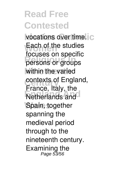vocations over time. C Each of the studies **Persons or groups** within the varied contexts of England, **Netherlands and** Spain, together focuses on specific France, Italy, the spanning the medieval period through to the nineteenth century. Examining the Page 53/56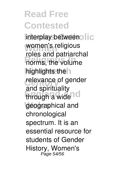interplay betweenolic **Women** women's religious **Religious Religions**, the volume highlights the **h** relevance of gender through a wide<sup>10</sup> **Wales** geographical and roles and patriarchal and spirituality chronological spectrum. It is an essential resource for students of Gender History, Women's Page 54/56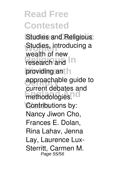**Studies and Religious** Studies, introducing a **Research and In** providing an h approachable guide to **England Andrew Andrew Andrew Andrew Andrew Andrew Andrew Andrew Andrew Andrew Andrew Andrew Andrew Andrew Andrew Andrew Andrew Andrew Andrew Andrew Andrew Andrew Andrew Andrew Andrew Andrew Andrew Andrew Andrew Andrew And** Contributions by: wealth of new current debates and Nancy Jiwon Cho, Frances E. Dolan, Rina Lahav, Jenna Lay, Laurence Lux-Sterritt, Carmen M. Page 55/56